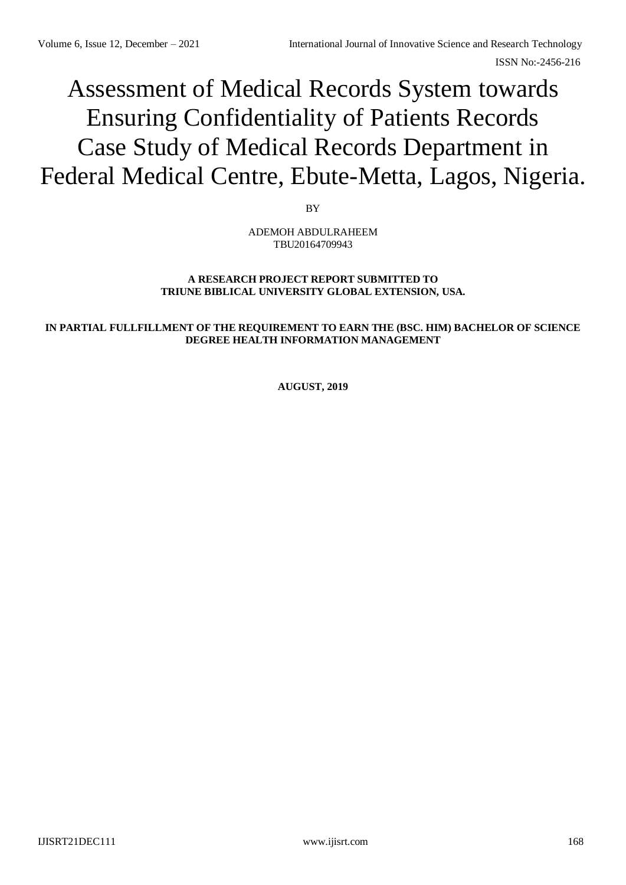# Assessment of Medical Records System towards Ensuring Confidentiality of Patients Records Case Study of Medical Records Department in Federal Medical Centre, Ebute-Metta, Lagos, Nigeria.

BY

ADEMOH ABDULRAHEEM TBU20164709943

# **A RESEARCH PROJECT REPORT SUBMITTED TO TRIUNE BIBLICAL UNIVERSITY GLOBAL EXTENSION, USA.**

# **IN PARTIAL FULLFILLMENT OF THE REQUIREMENT TO EARN THE (BSC. HIM) BACHELOR OF SCIENCE DEGREE HEALTH INFORMATION MANAGEMENT**

**AUGUST, 2019**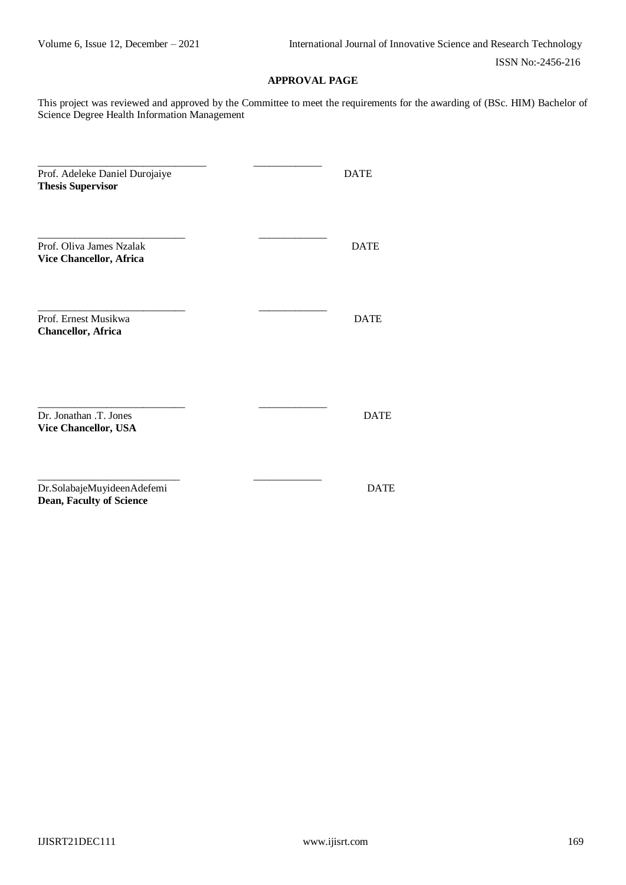# **APPROVAL PAGE**

This project was reviewed and approved by the Committee to meet the requirements for the awarding of (BSc. HIM) Bachelor of Science Degree Health Information Management

| Prof. Adeleke Daniel Durojaiye<br><b>Thesis Supervisor</b>    |  | <b>DATE</b> |
|---------------------------------------------------------------|--|-------------|
| Prof. Oliva James Nzalak<br>Vice Chancellor, Africa           |  | <b>DATE</b> |
| Prof. Ernest Musikwa<br><b>Chancellor, Africa</b>             |  | <b>DATE</b> |
| Dr. Jonathan .T. Jones<br>Vice Chancellor, USA                |  | <b>DATE</b> |
| Dr.SolabajeMuyideenAdefemi<br><b>Dean, Faculty of Science</b> |  | <b>DATE</b> |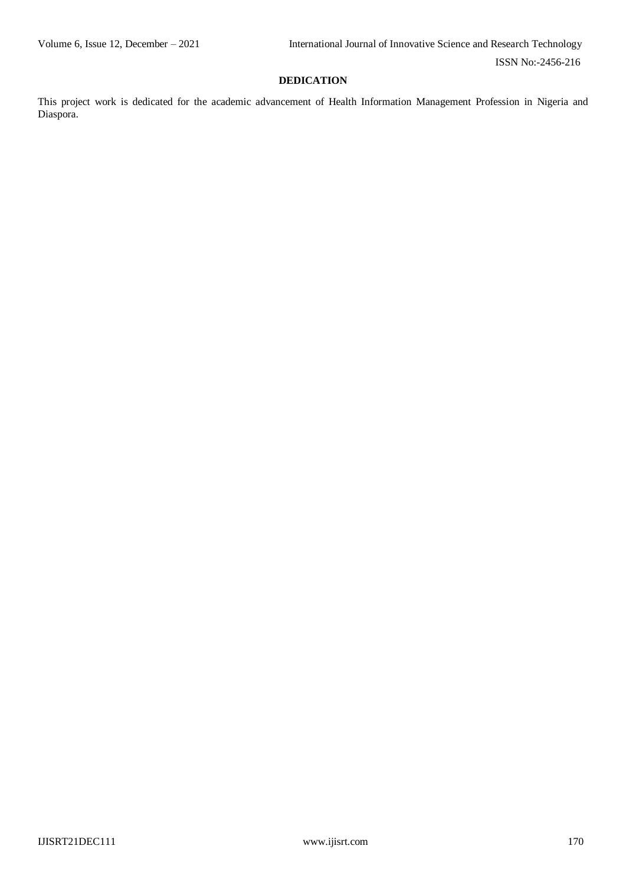# **DEDICATION**

This project work is dedicated for the academic advancement of Health Information Management Profession in Nigeria and Diaspora.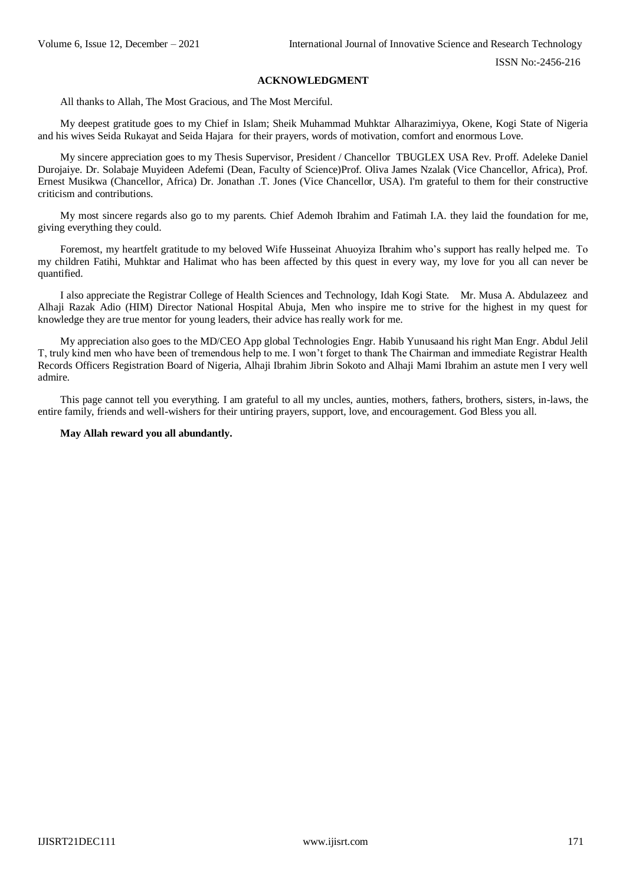### **ACKNOWLEDGMENT**

All thanks to Allah, The Most Gracious, and The Most Merciful.

My deepest gratitude goes to my Chief in Islam; Sheik Muhammad Muhktar Alharazimiyya, Okene, Kogi State of Nigeria and his wives Seida Rukayat and Seida Hajara for their prayers, words of motivation, comfort and enormous Love.

My sincere appreciation goes to my Thesis Supervisor, President / Chancellor TBUGLEX USA Rev. Proff. Adeleke Daniel Durojaiye. Dr. Solabaje Muyideen Adefemi (Dean, Faculty of Science)Prof. Oliva James Nzalak (Vice Chancellor, Africa), Prof. Ernest Musikwa (Chancellor, Africa) Dr. Jonathan .T. Jones (Vice Chancellor, USA). I'm grateful to them for their constructive criticism and contributions.

My most sincere regards also go to my parents. Chief Ademoh Ibrahim and Fatimah I.A. they laid the foundation for me, giving everything they could.

Foremost, my heartfelt gratitude to my beloved Wife Husseinat Ahuoyiza Ibrahim who's support has really helped me. To my children Fatihi, Muhktar and Halimat who has been affected by this quest in every way, my love for you all can never be quantified.

I also appreciate the Registrar College of Health Sciences and Technology, Idah Kogi State. Mr. Musa A. Abdulazeez and Alhaji Razak Adio (HIM) Director National Hospital Abuja, Men who inspire me to strive for the highest in my quest for knowledge they are true mentor for young leaders, their advice has really work for me.

My appreciation also goes to the MD/CEO App global Technologies Engr. Habib Yunusaand his right Man Engr. Abdul Jelil T, truly kind men who have been of tremendous help to me. I won't forget to thank The Chairman and immediate Registrar Health Records Officers Registration Board of Nigeria, Alhaji Ibrahim Jibrin Sokoto and Alhaji Mami Ibrahim an astute men I very well admire.

This page cannot tell you everything. I am grateful to all my uncles, aunties, mothers, fathers, brothers, sisters, in-laws, the entire family, friends and well-wishers for their untiring prayers, support, love, and encouragement. God Bless you all.

#### **May Allah reward you all abundantly.**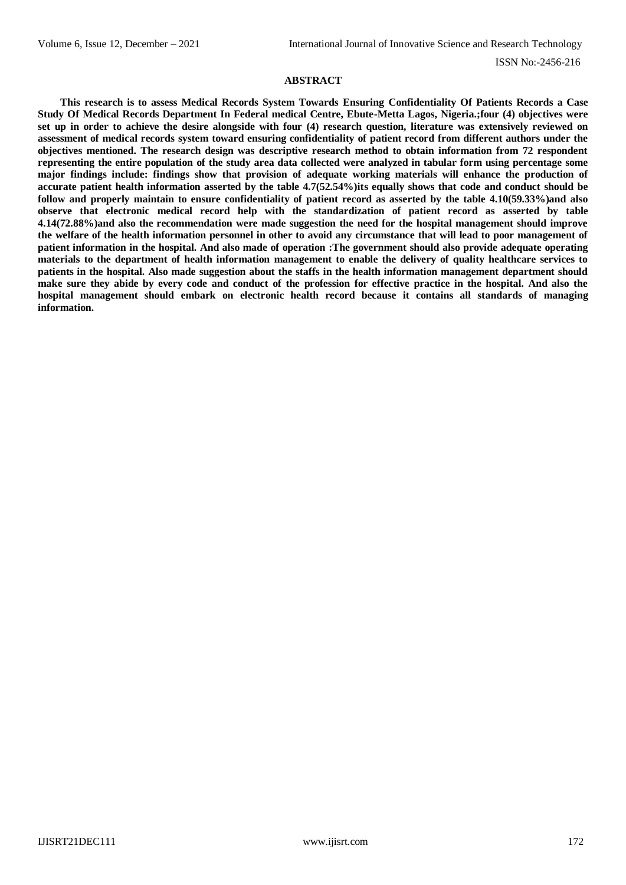## **ABSTRACT**

**This research is to assess Medical Records System Towards Ensuring Confidentiality Of Patients Records a Case Study Of Medical Records Department In Federal medical Centre, Ebute-Metta Lagos, Nigeria.;four (4) objectives were set up in order to achieve the desire alongside with four (4) research question, literature was extensively reviewed on assessment of medical records system toward ensuring confidentiality of patient record from different authors under the objectives mentioned. The research design was descriptive research method to obtain information from 72 respondent representing the entire population of the study area data collected were analyzed in tabular form using percentage some major findings include: findings show that provision of adequate working materials will enhance the production of accurate patient health information asserted by the table 4.7(52.54%)its equally shows that code and conduct should be follow and properly maintain to ensure confidentiality of patient record as asserted by the table 4.10(59.33%)and also observe that electronic medical record help with the standardization of patient record as asserted by table 4.14(72.88%)and also the recommendation were made suggestion the need for the hospital management should improve the welfare of the health information personnel in other to avoid any circumstance that will lead to poor management of patient information in the hospital. And also made of operation :The government should also provide adequate operating materials to the department of health information management to enable the delivery of quality healthcare services to patients in the hospital. Also made suggestion about the staffs in the health information management department should**  make sure they abide by every code and conduct of the profession for effective practice in the hospital. And also the **hospital management should embark on electronic health record because it contains all standards of managing information.**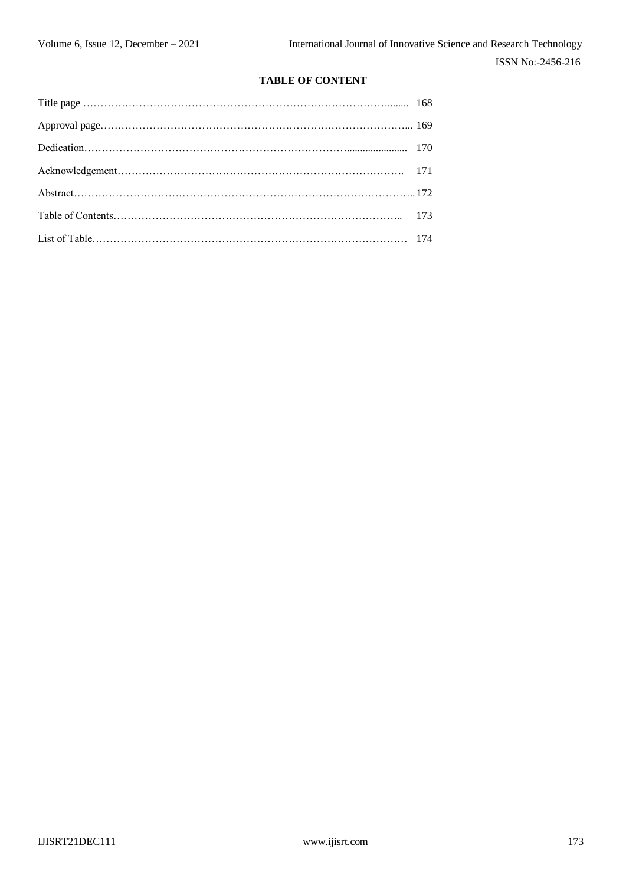# **TABLE OF CONTENT**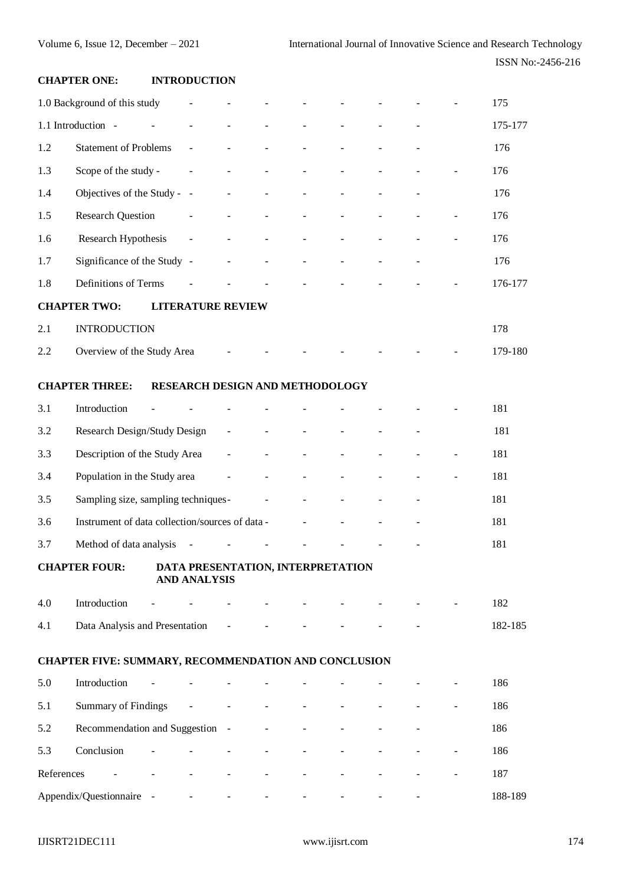# **CHAPTER ONE: INTRODUCTION**

|            | 1.0 Background of this study                         |                          | $\overline{\phantom{a}}$                                 |                          |                          |                                 |                |                |                | 175     |
|------------|------------------------------------------------------|--------------------------|----------------------------------------------------------|--------------------------|--------------------------|---------------------------------|----------------|----------------|----------------|---------|
|            | 1.1 Introduction -                                   |                          | $\blacksquare$                                           |                          |                          |                                 |                |                |                | 175-177 |
| 1.2        | <b>Statement of Problems</b>                         |                          | $\blacksquare$                                           | $\blacksquare$           |                          | $\blacksquare$                  | $\blacksquare$ |                |                | 176     |
| 1.3        | Scope of the study -                                 |                          | $\blacksquare$                                           |                          | $\overline{a}$           | ÷,                              |                |                |                | 176     |
| 1.4        | Objectives of the Study - -                          |                          |                                                          |                          |                          |                                 |                |                |                | 176     |
| 1.5        | <b>Research Question</b>                             |                          | $\blacksquare$                                           | $\overline{\phantom{a}}$ | $\overline{a}$           | $\overline{\phantom{a}}$        |                |                |                | 176     |
| 1.6        | Research Hypothesis                                  |                          | $\equiv$                                                 |                          |                          |                                 |                |                |                | 176     |
| 1.7        | Significance of the Study -                          |                          |                                                          |                          |                          | $\blacksquare$                  |                |                |                | 176     |
| 1.8        | Definitions of Terms                                 |                          |                                                          |                          |                          |                                 |                |                |                | 176-177 |
|            | <b>CHAPTER TWO:</b>                                  |                          | <b>LITERATURE REVIEW</b>                                 |                          |                          |                                 |                |                |                |         |
| 2.1        | <b>INTRODUCTION</b>                                  |                          |                                                          |                          |                          |                                 |                |                |                | 178     |
| 2.2        | Overview of the Study Area                           |                          |                                                          |                          |                          |                                 |                |                |                | 179-180 |
|            |                                                      |                          |                                                          |                          |                          |                                 |                |                |                |         |
|            | <b>CHAPTER THREE:</b>                                |                          | RESEARCH DESIGN AND METHODOLOGY                          |                          |                          |                                 |                |                |                |         |
| 3.1        | Introduction                                         |                          |                                                          |                          |                          |                                 |                |                |                | 181     |
| 3.2        | Research Design/Study Design                         |                          |                                                          | $\Box$                   |                          |                                 |                |                |                | 181     |
| 3.3        | Description of the Study Area                        |                          |                                                          | $\blacksquare$           |                          |                                 |                |                |                | 181     |
| 3.4        | Population in the Study area                         |                          |                                                          | $\blacksquare$           |                          |                                 |                |                |                | 181     |
| 3.5        | Sampling size, sampling techniques-                  |                          |                                                          |                          | $\overline{\phantom{a}}$ | $\overline{\phantom{a}}$        |                |                | ÷,             | 181     |
| 3.6        | Instrument of data collection/sources of data -      |                          |                                                          |                          |                          | $\blacksquare$                  |                |                |                | 181     |
| 3.7        | Method of data analysis                              |                          | $\overline{\phantom{a}}$                                 |                          |                          |                                 |                |                |                | 181     |
|            | <b>CHAPTER FOUR:</b>                                 |                          | DATA PRESENTATION, INTERPRETATION<br><b>AND ANALYSIS</b> |                          |                          |                                 |                |                |                |         |
| 4.0        | Introduction                                         |                          |                                                          |                          |                          |                                 |                |                |                | 182     |
| 4.1        | Data Analysis and Presentation                       |                          |                                                          | $\blacksquare$           |                          |                                 |                |                |                | 182-185 |
|            |                                                      |                          |                                                          |                          |                          |                                 |                |                |                |         |
|            | CHAPTER FIVE: SUMMARY, RECOMMENDATION AND CONCLUSION |                          |                                                          |                          |                          |                                 |                |                |                |         |
| 5.0        | Introduction                                         |                          |                                                          |                          |                          |                                 |                |                |                | 186     |
| 5.1        | Summary of Findings                                  |                          | $\blacksquare$                                           |                          |                          |                                 |                |                |                | 186     |
| 5.2        | Recommendation and Suggestion -                      |                          |                                                          |                          |                          |                                 |                |                |                | 186     |
| 5.3        | Conclusion                                           | $\frac{1}{2}$            |                                                          |                          |                          |                                 |                |                |                | 186     |
| References |                                                      | $\overline{\phantom{a}}$ | $\blacksquare$                                           | $\blacksquare$           | $\blacksquare$           | $\blacksquare$                  |                |                | $\blacksquare$ | 187     |
|            | Appendix/Questionnaire - - - - - -                   |                          |                                                          |                          |                          | $\Delta \sim 10^{11}$ m $^{-1}$ | $\blacksquare$ | $\blacksquare$ | $\omega$       | 188-189 |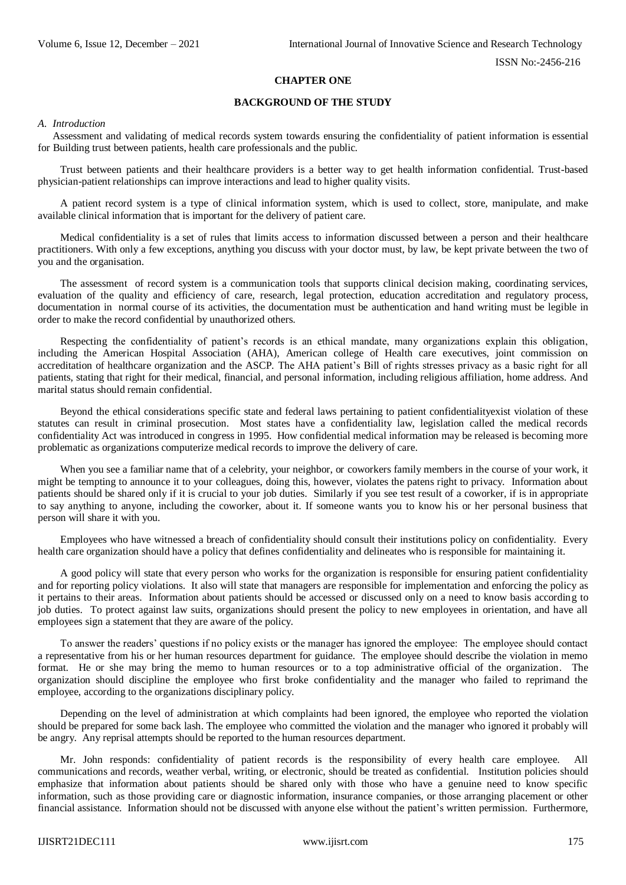## **CHAPTER ONE**

# **BACKGROUND OF THE STUDY**

#### *A. Introduction*

Assessment and validating of medical records system towards ensuring the confidentiality of patient information is essential for Building trust between patients, health care professionals and the public.

Trust between patients and their healthcare providers is a better way to get health information confidential. Trust-based physician-patient relationships can improve interactions and lead to higher quality visits.

A patient record system is a type of clinical information system, which is used to collect, store, manipulate, and make available clinical information that is important for the delivery of patient care.

Medical confidentiality is a set of rules that limits access to information discussed between a person and their healthcare practitioners. With only a few exceptions, anything you discuss with your doctor must, by law, be kept private between the two of you and the organisation.

The assessment of record system is a communication tools that supports clinical decision making, coordinating services, evaluation of the quality and efficiency of care, research, legal protection, education accreditation and regulatory process, documentation in normal course of its activities, the documentation must be authentication and hand writing must be legible in order to make the record confidential by unauthorized others.

Respecting the confidentiality of patient's records is an ethical mandate, many organizations explain this obligation, including the American Hospital Association (AHA), American college of Health care executives, joint commission on accreditation of healthcare organization and the ASCP. The AHA patient's Bill of rights stresses privacy as a basic right for all patients, stating that right for their medical, financial, and personal information, including religious affiliation, home address. And marital status should remain confidential.

Beyond the ethical considerations specific state and federal laws pertaining to patient confidentialityexist violation of these statutes can result in criminal prosecution. Most states have a confidentiality law, legislation called the medical records confidentiality Act was introduced in congress in 1995. How confidential medical information may be released is becoming more problematic as organizations computerize medical records to improve the delivery of care.

When you see a familiar name that of a celebrity, your neighbor, or coworkers family members in the course of your work, it might be tempting to announce it to your colleagues, doing this, however, violates the patens right to privacy. Information about patients should be shared only if it is crucial to your job duties. Similarly if you see test result of a coworker, if is in appropriate to say anything to anyone, including the coworker, about it. If someone wants you to know his or her personal business that person will share it with you.

Employees who have witnessed a breach of confidentiality should consult their institutions policy on confidentiality. Every health care organization should have a policy that defines confidentiality and delineates who is responsible for maintaining it.

A good policy will state that every person who works for the organization is responsible for ensuring patient confidentiality and for reporting policy violations. It also will state that managers are responsible for implementation and enforcing the policy as it pertains to their areas. Information about patients should be accessed or discussed only on a need to know basis according to job duties. To protect against law suits, organizations should present the policy to new employees in orientation, and have all employees sign a statement that they are aware of the policy.

To answer the readers' questions if no policy exists or the manager has ignored the employee: The employee should contact a representative from his or her human resources department for guidance. The employee should describe the violation in memo format. He or she may bring the memo to human resources or to a top administrative official of the organization. The organization should discipline the employee who first broke confidentiality and the manager who failed to reprimand the employee, according to the organizations disciplinary policy.

Depending on the level of administration at which complaints had been ignored, the employee who reported the violation should be prepared for some back lash. The employee who committed the violation and the manager who ignored it probably will be angry. Any reprisal attempts should be reported to the human resources department.

Mr. John responds: confidentiality of patient records is the responsibility of every health care employee. All communications and records, weather verbal, writing, or electronic, should be treated as confidential. Institution policies should emphasize that information about patients should be shared only with those who have a genuine need to know specific information, such as those providing care or diagnostic information, insurance companies, or those arranging placement or other financial assistance. Information should not be discussed with anyone else without the patient's written permission. Furthermore,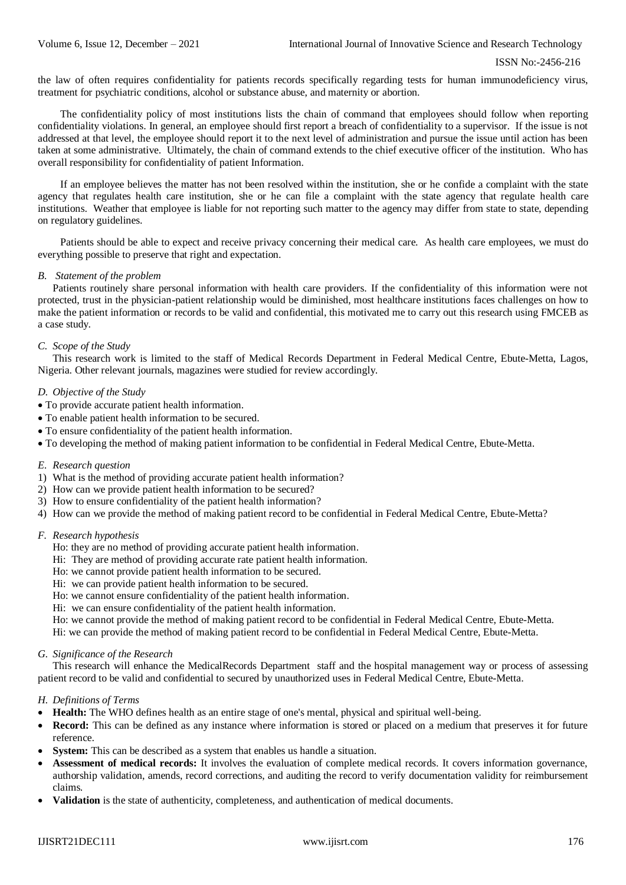```
 ISSN No:-2456-216
```
the law of often requires confidentiality for patients records specifically regarding tests for human immunodeficiency virus, treatment for psychiatric conditions, alcohol or substance abuse, and maternity or abortion.

The confidentiality policy of most institutions lists the chain of command that employees should follow when reporting confidentiality violations. In general, an employee should first report a breach of confidentiality to a supervisor. If the issue is not addressed at that level, the employee should report it to the next level of administration and pursue the issue until action has been taken at some administrative. Ultimately, the chain of command extends to the chief executive officer of the institution. Who has overall responsibility for confidentiality of patient Information.

If an employee believes the matter has not been resolved within the institution, she or he confide a complaint with the state agency that regulates health care institution, she or he can file a complaint with the state agency that regulate health care institutions. Weather that employee is liable for not reporting such matter to the agency may differ from state to state, depending on regulatory guidelines.

Patients should be able to expect and receive privacy concerning their medical care. As health care employees, we must do everything possible to preserve that right and expectation.

# *B. Statement of the problem*

Patients routinely share personal information with health care providers. If the confidentiality of this information were not protected, trust in the physician-patient relationship would be diminished, most healthcare institutions faces challenges on how to make the patient information or records to be valid and confidential, this motivated me to carry out this research using FMCEB as a case study.

# *C. Scope of the Study*

This research work is limited to the staff of Medical Records Department in Federal Medical Centre, Ebute-Metta, Lagos, Nigeria. Other relevant journals, magazines were studied for review accordingly.

# *D. Objective of the Study*

- To provide accurate patient health information.
- To enable patient health information to be secured.
- To ensure confidentiality of the patient health information.
- To developing the method of making patient information to be confidential in Federal Medical Centre, Ebute-Metta.

## *E. Research question*

- 1) What is the method of providing accurate patient health information?
- 2) How can we provide patient health information to be secured?
- 3) How to ensure confidentiality of the patient health information?
- 4) How can we provide the method of making patient record to be confidential in Federal Medical Centre, Ebute-Metta?

## *F. Research hypothesis*

- Ho: they are no method of providing accurate patient health information.
- Hi: They are method of providing accurate rate patient health information.
- Ho: we cannot provide patient health information to be secured.
- Hi: we can provide patient health information to be secured.
- Ho: we cannot ensure confidentiality of the patient health information.
- Hi: we can ensure confidentiality of the patient health information.
- Ho: we cannot provide the method of making patient record to be confidential in Federal Medical Centre, Ebute-Metta.

Hi: we can provide the method of making patient record to be confidential in Federal Medical Centre, Ebute-Metta.

## *G. Significance of the Research*

This research will enhance the MedicalRecords Department staff and the hospital management way or process of assessing patient record to be valid and confidential to secured by unauthorized uses in Federal Medical Centre, Ebute-Metta.

## *H. Definitions of Terms*

- **Health:** The WHO defines health as an entire stage of one's mental, physical and spiritual well-being.
- **Record:** This can be defined as any instance where information is stored or placed on a medium that preserves it for future reference.
- **System:** This can be described as a system that enables us handle a situation.
- **Assessment of medical records:** It involves the evaluation of complete medical records. It covers information governance, authorship validation, amends, record corrections, and auditing the record to verify documentation validity for reimbursement claims.
- **Validation** is the state of authenticity, completeness, and authentication of medical documents.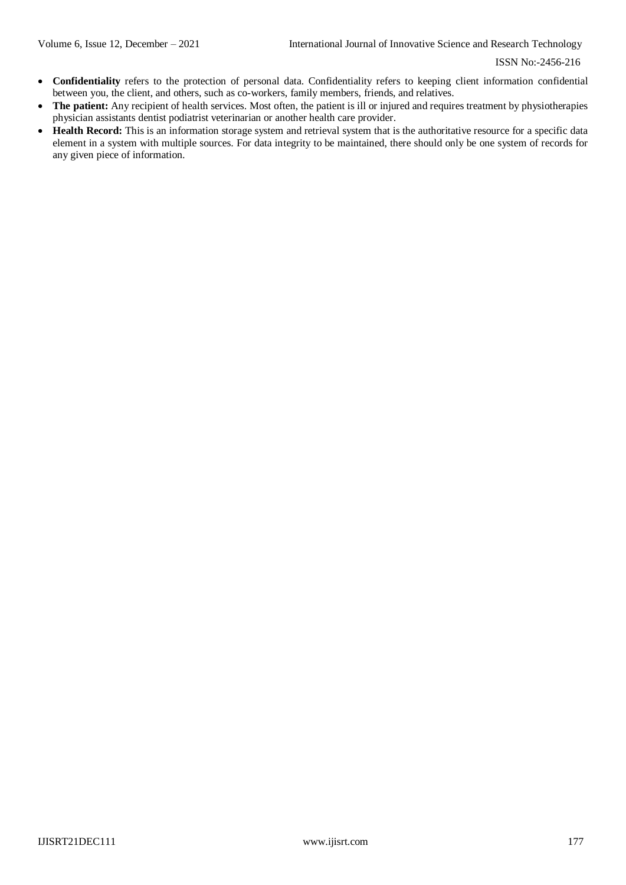- **Confidentiality** refers to the protection of personal data. Confidentiality refers to keeping client information confidential between you, the client, and others, such as co-workers, family members, friends, and relatives.
- **The patient:** Any recipient of health services. Most often, the patient is ill or injured and requires treatment by physiotherapies physician assistants dentist podiatrist veterinarian or another health care provider.
- **Health Record:** This is an information storage system and retrieval system that is the authoritative resource for a specific data element in a system with multiple sources. For data integrity to be maintained, there should only be one system of records for any given piece of information.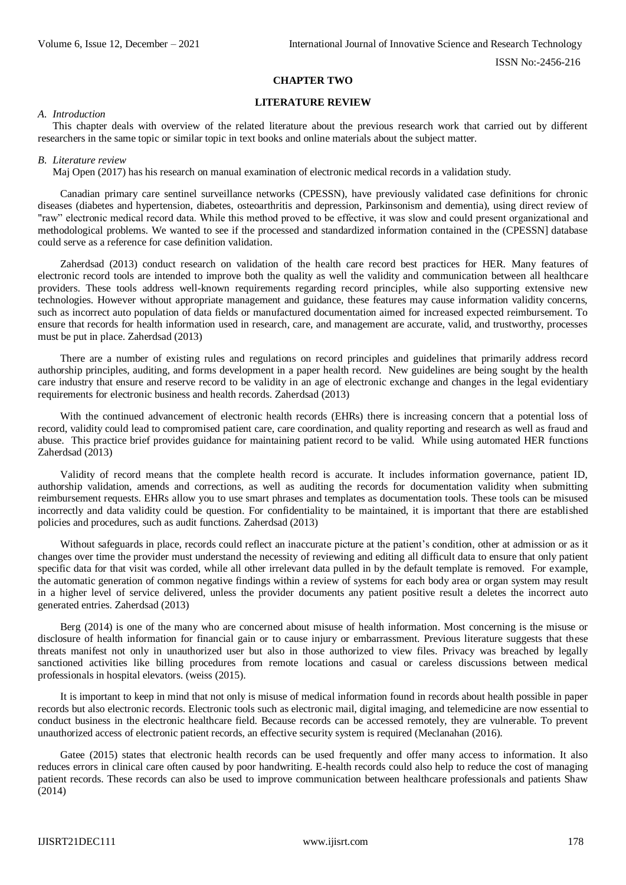#### **CHAPTER TWO**

# **LITERATURE REVIEW**

#### *A. Introduction*

This chapter deals with overview of the related literature about the previous research work that carried out by different researchers in the same topic or similar topic in text books and online materials about the subject matter.

#### *B. Literature review*

Maj Open (2017) has his research on manual examination of electronic medical records in a validation study.

Canadian primary care sentinel surveillance networks (CPESSN), have previously validated case definitions for chronic diseases (diabetes and hypertension, diabetes, osteoarthritis and depression, Parkinsonism and dementia), using direct review of "raw" electronic medical record data. While this method proved to be effective, it was slow and could present organizational and methodological problems. We wanted to see if the processed and standardized information contained in the (CPESSN] database could serve as a reference for case definition validation.

Zaherdsad (2013) conduct research on validation of the health care record best practices for HER. Many features of electronic record tools are intended to improve both the quality as well the validity and communication between all healthcare providers. These tools address well-known requirements regarding record principles, while also supporting extensive new technologies. However without appropriate management and guidance, these features may cause information validity concerns, such as incorrect auto population of data fields or manufactured documentation aimed for increased expected reimbursement. To ensure that records for health information used in research, care, and management are accurate, valid, and trustworthy, processes must be put in place. Zaherdsad (2013)

There are a number of existing rules and regulations on record principles and guidelines that primarily address record authorship principles, auditing, and forms development in a paper health record. New guidelines are being sought by the health care industry that ensure and reserve record to be validity in an age of electronic exchange and changes in the legal evidentiary requirements for electronic business and health records. Zaherdsad (2013)

With the continued advancement of electronic health records (EHRs) there is increasing concern that a potential loss of record, validity could lead to compromised patient care, care coordination, and quality reporting and research as well as fraud and abuse. This practice brief provides guidance for maintaining patient record to be valid. While using automated HER functions Zaherdsad (2013)

Validity of record means that the complete health record is accurate. It includes information governance, patient ID, authorship validation, amends and corrections, as well as auditing the records for documentation validity when submitting reimbursement requests. EHRs allow you to use smart phrases and templates as documentation tools. These tools can be misused incorrectly and data validity could be question. For confidentiality to be maintained, it is important that there are established policies and procedures, such as audit functions. Zaherdsad (2013)

Without safeguards in place, records could reflect an inaccurate picture at the patient's condition, other at admission or as it changes over time the provider must understand the necessity of reviewing and editing all difficult data to ensure that only patient specific data for that visit was corded, while all other irrelevant data pulled in by the default template is removed. For example, the automatic generation of common negative findings within a review of systems for each body area or organ system may result in a higher level of service delivered, unless the provider documents any patient positive result a deletes the incorrect auto generated entries. Zaherdsad (2013)

Berg (2014) is one of the many who are concerned about misuse of health information. Most concerning is the misuse or disclosure of health information for financial gain or to cause injury or embarrassment. Previous literature suggests that these threats manifest not only in unauthorized user but also in those authorized to view files. Privacy was breached by legally sanctioned activities like billing procedures from remote locations and casual or careless discussions between medical professionals in hospital elevators. (weiss (2015).

It is important to keep in mind that not only is misuse of medical information found in records about health possible in paper records but also electronic records. Electronic tools such as electronic mail, digital imaging, and telemedicine are now essential to conduct business in the electronic healthcare field. Because records can be accessed remotely, they are vulnerable. To prevent unauthorized access of electronic patient records, an effective security system is required (Meclanahan (2016).

Gatee (2015) states that electronic health records can be used frequently and offer many access to information. It also reduces errors in clinical care often caused by poor handwriting. E-health records could also help to reduce the cost of managing patient records. These records can also be used to improve communication between healthcare professionals and patients Shaw (2014)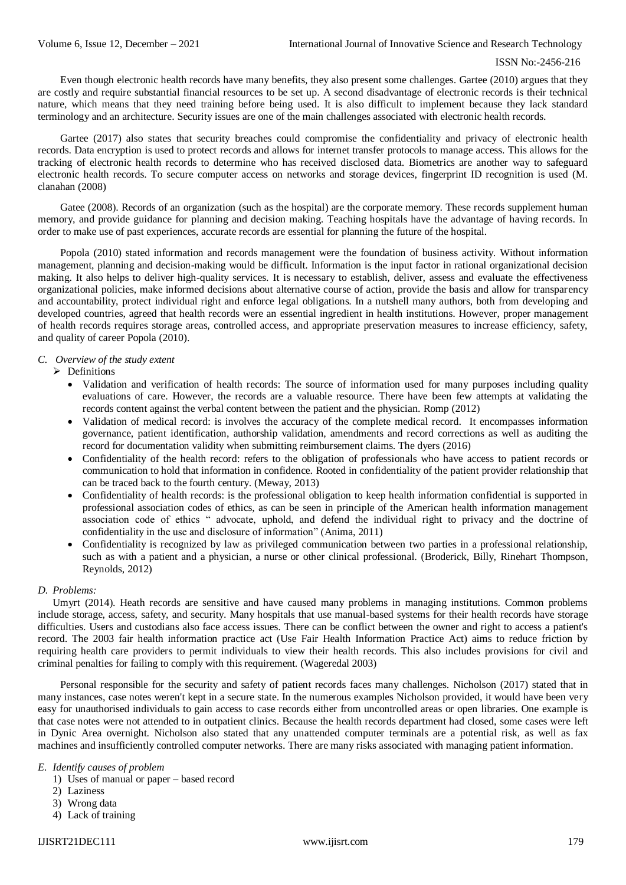Even though electronic health records have many benefits, they also present some challenges. Gartee (2010) argues that they are costly and require substantial financial resources to be set up. A second disadvantage of electronic records is their technical nature, which means that they need training before being used. It is also difficult to implement because they lack standard terminology and an architecture. Security issues are one of the main challenges associated with electronic health records.

Gartee (2017) also states that security breaches could compromise the confidentiality and privacy of electronic health records. Data encryption is used to protect records and allows for internet transfer protocols to manage access. This allows for the tracking of electronic health records to determine who has received disclosed data. Biometrics are another way to safeguard electronic health records. To secure computer access on networks and storage devices, fingerprint ID recognition is used (M. clanahan (2008)

Gatee (2008). Records of an organization (such as the hospital) are the corporate memory. These records supplement human memory, and provide guidance for planning and decision making. Teaching hospitals have the advantage of having records. In order to make use of past experiences, accurate records are essential for planning the future of the hospital.

Popola (2010) stated information and records management were the foundation of business activity. Without information management, planning and decision-making would be difficult. Information is the input factor in rational organizational decision making. It also helps to deliver high-quality services. It is necessary to establish, deliver, assess and evaluate the effectiveness organizational policies, make informed decisions about alternative course of action, provide the basis and allow for transparency and accountability, protect individual right and enforce legal obligations. In a nutshell many authors, both from developing and developed countries, agreed that health records were an essential ingredient in health institutions. However, proper management of health records requires storage areas, controlled access, and appropriate preservation measures to increase efficiency, safety, and quality of career Popola (2010).

## *C. Overview of the study extent*

- $\triangleright$  Definitions
	- Validation and verification of health records: The source of information used for many purposes including quality evaluations of care. However, the records are a valuable resource. There have been few attempts at validating the records content against the verbal content between the patient and the physician. Romp (2012)
	- Validation of medical record: is involves the accuracy of the complete medical record. It encompasses information governance, patient identification, authorship validation, amendments and record corrections as well as auditing the record for documentation validity when submitting reimbursement claims. The dyers (2016)
	- Confidentiality of the health record: refers to the obligation of professionals who have access to patient records or communication to hold that information in confidence. Rooted in confidentiality of the patient provider relationship that can be traced back to the fourth century. (Meway, 2013)
	- Confidentiality of health records: is the professional obligation to keep health information confidential is supported in professional association codes of ethics, as can be seen in principle of the American health information management association code of ethics " advocate, uphold, and defend the individual right to privacy and the doctrine of confidentiality in the use and disclosure of information" (Anima, 2011)
	- Confidentiality is recognized by law as privileged communication between two parties in a professional relationship, such as with a patient and a physician, a nurse or other clinical professional. (Broderick, Billy, Rinehart Thompson, Reynolds, 2012)

# *D. Problems:*

Umyrt (2014). Heath records are sensitive and have caused many problems in managing institutions. Common problems include storage, access, safety, and security. Many hospitals that use manual-based systems for their health records have storage difficulties. Users and custodians also face access issues. There can be conflict between the owner and right to access a patient's record. The 2003 fair health information practice act (Use Fair Health Information Practice Act) aims to reduce friction by requiring health care providers to permit individuals to view their health records. This also includes provisions for civil and criminal penalties for failing to comply with this requirement. (Wageredal 2003)

Personal responsible for the security and safety of patient records faces many challenges. Nicholson (2017) stated that in many instances, case notes weren't kept in a secure state. In the numerous examples Nicholson provided, it would have been very easy for unauthorised individuals to gain access to case records either from uncontrolled areas or open libraries. One example is that case notes were not attended to in outpatient clinics. Because the health records department had closed, some cases were left in Dynic Area overnight. Nicholson also stated that any unattended computer terminals are a potential risk, as well as fax machines and insufficiently controlled computer networks. There are many risks associated with managing patient information.

## *E. Identify causes of problem*

- 1) Uses of manual or paper based record
- 2) Laziness
- 3) Wrong data
- 4) Lack of training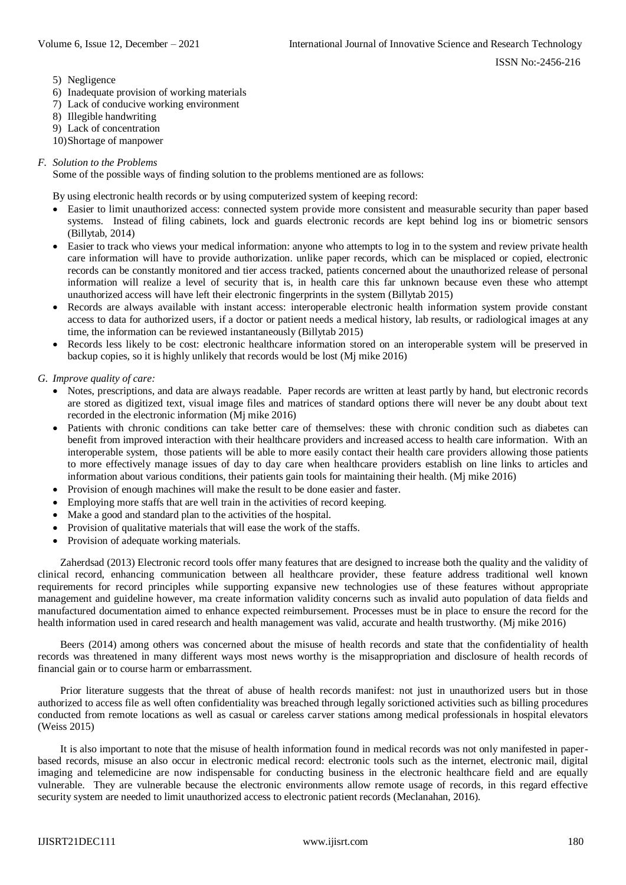- 5) Negligence
- 6) Inadequate provision of working materials
- 7) Lack of conducive working environment
- 8) Illegible handwriting
- 9) Lack of concentration
- 10)Shortage of manpower

# *F. Solution to the Problems*

Some of the possible ways of finding solution to the problems mentioned are as follows:

By using electronic health records or by using computerized system of keeping record:

- Easier to limit unauthorized access: connected system provide more consistent and measurable security than paper based systems. Instead of filing cabinets, lock and guards electronic records are kept behind log ins or biometric sensors (Billytab, 2014)
- Easier to track who views your medical information: anyone who attempts to log in to the system and review private health care information will have to provide authorization. unlike paper records, which can be misplaced or copied, electronic records can be constantly monitored and tier access tracked, patients concerned about the unauthorized release of personal information will realize a level of security that is, in health care this far unknown because even these who attempt unauthorized access will have left their electronic fingerprints in the system (Billytab 2015)
- Records are always available with instant access: interoperable electronic health information system provide constant access to data for authorized users, if a doctor or patient needs a medical history, lab results, or radiological images at any time, the information can be reviewed instantaneously (Billytab 2015)
- Records less likely to be cost: electronic healthcare information stored on an interoperable system will be preserved in backup copies, so it is highly unlikely that records would be lost (Mj mike 2016)
- *G. Improve quality of care:*
	- Notes, prescriptions, and data are always readable. Paper records are written at least partly by hand, but electronic records are stored as digitized text, visual image files and matrices of standard options there will never be any doubt about text recorded in the electronic information (Mj mike 2016)
	- Patients with chronic conditions can take better care of themselves: these with chronic condition such as diabetes can benefit from improved interaction with their healthcare providers and increased access to health care information. With an interoperable system, those patients will be able to more easily contact their health care providers allowing those patients to more effectively manage issues of day to day care when healthcare providers establish on line links to articles and information about various conditions, their patients gain tools for maintaining their health. (Mj mike 2016)
	- Provision of enough machines will make the result to be done easier and faster.
	- Employing more staffs that are well train in the activities of record keeping.
	- Make a good and standard plan to the activities of the hospital.
	- Provision of qualitative materials that will ease the work of the staffs.
	- Provision of adequate working materials.

Zaherdsad (2013) Electronic record tools offer many features that are designed to increase both the quality and the validity of clinical record, enhancing communication between all healthcare provider, these feature address traditional well known requirements for record principles while supporting expansive new technologies use of these features without appropriate management and guideline however, ma create information validity concerns such as invalid auto population of data fields and manufactured documentation aimed to enhance expected reimbursement. Processes must be in place to ensure the record for the health information used in cared research and health management was valid, accurate and health trustworthy. (Mj mike 2016)

Beers (2014) among others was concerned about the misuse of health records and state that the confidentiality of health records was threatened in many different ways most news worthy is the misappropriation and disclosure of health records of financial gain or to course harm or embarrassment.

Prior literature suggests that the threat of abuse of health records manifest: not just in unauthorized users but in those authorized to access file as well often confidentiality was breached through legally sorictioned activities such as billing procedures conducted from remote locations as well as casual or careless carver stations among medical professionals in hospital elevators (Weiss 2015)

It is also important to note that the misuse of health information found in medical records was not only manifested in paperbased records, misuse an also occur in electronic medical record: electronic tools such as the internet, electronic mail, digital imaging and telemedicine are now indispensable for conducting business in the electronic healthcare field and are equally vulnerable. They are vulnerable because the electronic environments allow remote usage of records, in this regard effective security system are needed to limit unauthorized access to electronic patient records (Meclanahan, 2016).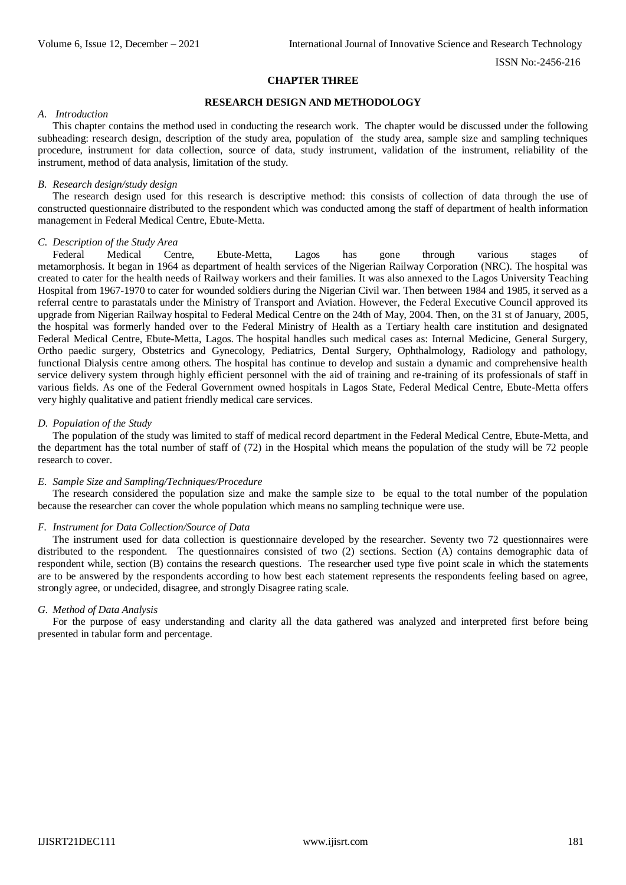#### **CHAPTER THREE**

## **RESEARCH DESIGN AND METHODOLOGY**

#### *A. Introduction*

This chapter contains the method used in conducting the research work. The chapter would be discussed under the following subheading: research design, description of the study area, population of the study area, sample size and sampling techniques procedure, instrument for data collection, source of data, study instrument, validation of the instrument, reliability of the instrument, method of data analysis, limitation of the study.

#### *B. Research design/study design*

The research design used for this research is descriptive method: this consists of collection of data through the use of constructed questionnaire distributed to the respondent which was conducted among the staff of department of health information management in Federal Medical Centre, Ebute-Metta.

## *C. Description of the Study Area*

Federal Medical Centre, Ebute-Metta, Lagos has gone through various stages of metamorphosis. It began in 1964 as department of health services of the Nigerian Railway Corporation (NRC). The hospital was created to cater for the health needs of Railway workers and their families. It was also annexed to the Lagos University Teaching Hospital from 1967-1970 to cater for wounded soldiers during the Nigerian Civil war. Then between 1984 and 1985, it served as a referral centre to parastatals under the Ministry of Transport and Aviation. However, the Federal Executive Council approved its upgrade from Nigerian Railway hospital to Federal Medical Centre on the 24th of May, 2004. Then, on the 31 st of January, 2005, the hospital was formerly handed over to the Federal Ministry of Health as a Tertiary health care institution and designated Federal Medical Centre, Ebute-Metta, Lagos. The hospital handles such medical cases as: Internal Medicine, General Surgery, Ortho paedic surgery, Obstetrics and Gynecology, Pediatrics, Dental Surgery, Ophthalmology, Radiology and pathology, functional Dialysis centre among others. The hospital has continue to develop and sustain a dynamic and comprehensive health service delivery system through highly efficient personnel with the aid of training and re-training of its professionals of staff in various fields. As one of the Federal Government owned hospitals in Lagos State, Federal Medical Centre, Ebute-Metta offers very highly qualitative and patient friendly medical care services.

#### *D. Population of the Study*

The population of the study was limited to staff of medical record department in the Federal Medical Centre, Ebute-Metta, and the department has the total number of staff of (72) in the Hospital which means the population of the study will be 72 people research to cover.

#### *E. Sample Size and Sampling/Techniques/Procedure*

The research considered the population size and make the sample size to be equal to the total number of the population because the researcher can cover the whole population which means no sampling technique were use.

#### *F. Instrument for Data Collection/Source of Data*

The instrument used for data collection is questionnaire developed by the researcher. Seventy two 72 questionnaires were distributed to the respondent. The questionnaires consisted of two (2) sections. Section (A) contains demographic data of respondent while, section (B) contains the research questions. The researcher used type five point scale in which the statements are to be answered by the respondents according to how best each statement represents the respondents feeling based on agree, strongly agree, or undecided, disagree, and strongly Disagree rating scale.

#### *G. Method of Data Analysis*

For the purpose of easy understanding and clarity all the data gathered was analyzed and interpreted first before being presented in tabular form and percentage.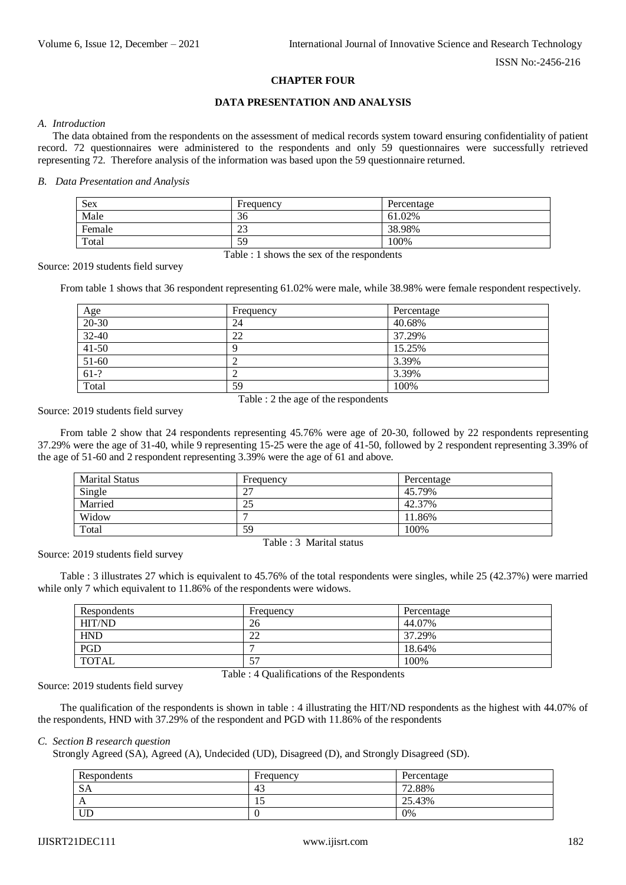# **CHAPTER FOUR**

# **DATA PRESENTATION AND ANALYSIS**

#### *A. Introduction*

The data obtained from the respondents on the assessment of medical records system toward ensuring confidentiality of patient record. 72 questionnaires were administered to the respondents and only 59 questionnaires were successfully retrieved representing 72. Therefore analysis of the information was based upon the 59 questionnaire returned.

#### *B. Data Presentation and Analysis*

| <b>Sex</b>                                          | Frequency | Percentage |  |
|-----------------------------------------------------|-----------|------------|--|
| Male                                                | 36        | 61.02%     |  |
| Female                                              | າາ<br>23  | 38.98%     |  |
| Total                                               | 59        | 100%       |  |
| $\mathbf{m}$ 11 11 11 $\mathbf{d}$ 1 1 $\mathbf{d}$ |           |            |  |

Table : 1 shows the sex of the respondents

Source: 2019 students field survey

From table 1 shows that 36 respondent representing 61.02% were male, while 38.98% were female respondent respectively.

| Age       | Frequency | Percentage |
|-----------|-----------|------------|
| 20-30     | 24        | 40.68%     |
| $32 - 40$ | 22        | 37.29%     |
| $41 - 50$ | O         | 15.25%     |
| 51-60     |           | 3.39%      |
| $61-?$    |           | 3.39%      |
| Total     | 59        | 100%       |

Table : 2 the age of the respondents

Source: 2019 students field survey

From table 2 show that 24 respondents representing 45.76% were age of 20-30, followed by 22 respondents representing 37.29% were the age of 31-40, while 9 representing 15-25 were the age of 41-50, followed by 2 respondent representing 3.39% of the age of 51-60 and 2 respondent representing 3.39% were the age of 61 and above.

| <b>Marital Status</b> | Frequency      | Percentage |
|-----------------------|----------------|------------|
| Single                | 2 <sup>7</sup> | 45.79%     |
| Married               | 25             | 42.37%     |
| Widow                 |                | 11.86%     |
| Total                 | 59             | 100%       |

Table : 3 Marital status

Source: 2019 students field survey

Table : 3 illustrates 27 which is equivalent to 45.76% of the total respondents were singles, while 25 (42.37%) were married while only 7 which equivalent to 11.86% of the respondents were widows.

| Respondents  | Frequency | Percentage |
|--------------|-----------|------------|
| HIT/ND       | 26        | 44.07%     |
| <b>HND</b>   | 22        | 37.29%     |
| <b>PGD</b>   |           | 18.64%     |
| <b>TOTAL</b> | 57        | 100%       |

Table : 4 Qualifications of the Respondents

Source: 2019 students field survey

The qualification of the respondents is shown in table : 4 illustrating the HIT/ND respondents as the highest with 44.07% of the respondents, HND with 37.29% of the respondent and PGD with 11.86% of the respondents

# *C. Section B research question*

Strongly Agreed (SA), Agreed (A), Undecided (UD), Disagreed (D), and Strongly Disagreed (SD).

| Respondents  | Frequency | Percentage |
|--------------|-----------|------------|
| <b>SA</b>    | 40        | 72.88%     |
| $\mathbf{A}$ |           | 25.43%     |
| UD           |           | 0%         |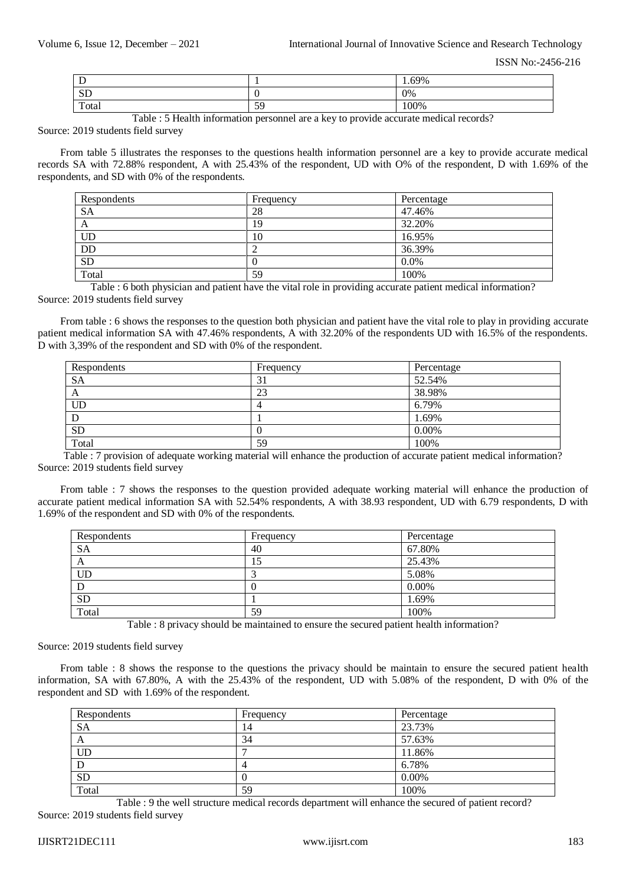| . .      |          | 1.69% |
|----------|----------|-------|
| CD<br>עט |          | 0%    |
| Total    | 50<br>J) | 100%  |

Table : 5 Health information personnel are a key to provide accurate medical records?

Source: 2019 students field survey

From table 5 illustrates the responses to the questions health information personnel are a key to provide accurate medical records SA with 72.88% respondent, A with 25.43% of the respondent, UD with O% of the respondent, D with 1.69% of the respondents, and SD with 0% of the respondents.

| Respondents | Frequency | Percentage |
|-------------|-----------|------------|
| SА          | 28        | 47.46%     |
| A           | 19        | 32.20%     |
| <b>UD</b>   | 10        | 16.95%     |
| <b>DD</b>   | ∠         | 36.39%     |
| <b>SD</b>   | U         | $0.0\%$    |
| Total       | 59        | 100%       |

Table : 6 both physician and patient have the vital role in providing accurate patient medical information? Source: 2019 students field survey

From table : 6 shows the responses to the question both physician and patient have the vital role to play in providing accurate patient medical information SA with 47.46% respondents, A with 32.20% of the respondents UD with 16.5% of the respondents. D with 3,39% of the respondent and SD with 0% of the respondent.

| Respondents | Frequency | Percentage |
|-------------|-----------|------------|
| <b>SA</b>   | 31        | 52.54%     |
| A           | 23        | 38.98%     |
| UD          |           | 6.79%      |
| D           |           | 1.69%      |
| <b>SD</b>   |           | 0.00%      |
| Total       | 59        | 100%       |

Table : 7 provision of adequate working material will enhance the production of accurate patient medical information? Source: 2019 students field survey

From table : 7 shows the responses to the question provided adequate working material will enhance the production of accurate patient medical information SA with 52.54% respondents, A with 38.93 respondent, UD with 6.79 respondents, D with 1.69% of the respondent and SD with 0% of the respondents.

| Respondents | Frequency | Percentage |
|-------------|-----------|------------|
| <b>SA</b>   | 40        | 67.80%     |
| A           |           | 25.43%     |
| <b>UD</b>   |           | 5.08%      |
|             | U         | 0.00%      |
| <b>SD</b>   |           | 1.69%      |
| Total       | 59        | 100%       |

Table : 8 privacy should be maintained to ensure the secured patient health information?

Source: 2019 students field survey

From table : 8 shows the response to the questions the privacy should be maintain to ensure the secured patient health information, SA with 67.80%, A with the 25.43% of the respondent, UD with 5.08% of the respondent, D with 0% of the respondent and SD with 1.69% of the respondent.

| Respondents | Frequency | Percentage |
|-------------|-----------|------------|
| SА          | 14        | 23.73%     |
| A           | 34        | 57.63%     |
| UD          |           | 11.86%     |
|             | 4         | 6.78%      |
| <b>SD</b>   |           | 0.00%      |
| Total       | 59        | 100%       |

Table : 9 the well structure medical records department will enhance the secured of patient record? Source: 2019 students field survey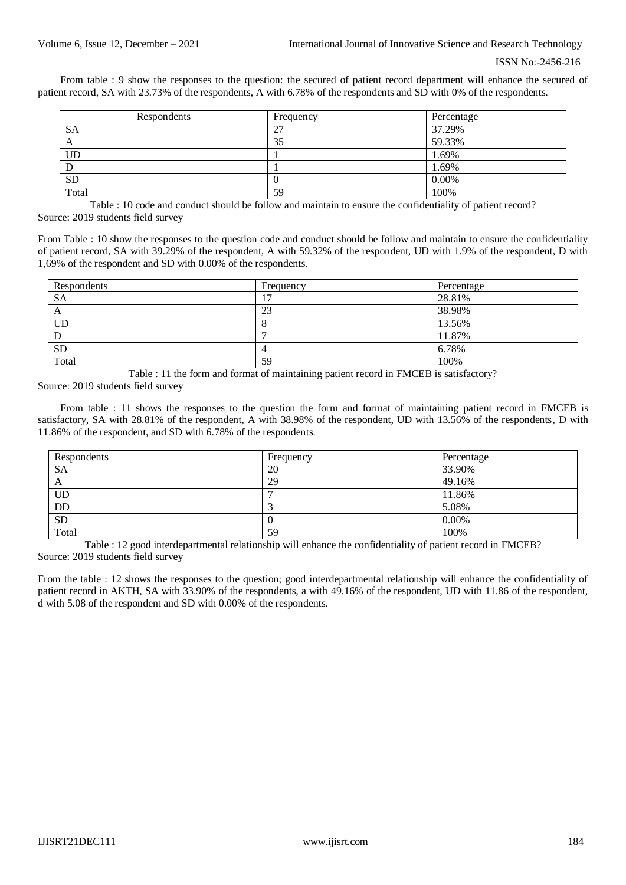From table : 9 show the responses to the question: the secured of patient record department will enhance the secured of patient record, SA with 23.73% of the respondents, A with 6.78% of the respondents and SD with 0% of the respondents.

| Respondents | Frequency | Percentage |
|-------------|-----------|------------|
| SА          | 27        | 37.29%     |
| A           | 35        | 59.33%     |
| UD          |           | 1.69%      |
|             |           | 1.69%      |
| <b>SD</b>   | v         | 0.00%      |
| Total       | 59        | 100%       |

Table : 10 code and conduct should be follow and maintain to ensure the confidentiality of patient record? Source: 2019 students field survey

From Table : 10 show the responses to the question code and conduct should be follow and maintain to ensure the confidentiality of patient record, SA with 39.29% of the respondent, A with 59.32% of the respondent, UD with 1.9% of the respondent, D with 1,69% of the respondent and SD with 0.00% of the respondents.

| Respondents | Frequency | Percentage |
|-------------|-----------|------------|
| <b>SA</b>   |           | 28.81%     |
| A           | 23        | 38.98%     |
| UD          | $\Omega$  | 13.56%     |
|             |           | 11.87%     |
| <b>SD</b>   |           | 6.78%      |
| Total       | 59        | 100%       |

Table : 11 the form and format of maintaining patient record in FMCEB is satisfactory? Source: 2019 students field survey

From table : 11 shows the responses to the question the form and format of maintaining patient record in FMCEB is satisfactory, SA with 28.81% of the respondent, A with 38.98% of the respondent, UD with 13.56% of the respondents, D with 11.86% of the respondent, and SD with 6.78% of the respondents.

| Respondents | Frequency | Percentage |
|-------------|-----------|------------|
| <b>SA</b>   | 20        | 33.90%     |
| A           | 29        | 49.16%     |
| UD          |           | 11.86%     |
| DD          |           | 5.08%      |
| <b>SD</b>   |           | $0.00\%$   |
| Total       | 59        | 100%       |

Table : 12 good interdepartmental relationship will enhance the confidentiality of patient record in FMCEB? Source: 2019 students field survey

From the table : 12 shows the responses to the question; good interdepartmental relationship will enhance the confidentiality of patient record in AKTH, SA with 33.90% of the respondents, a with 49.16% of the respondent, UD with 11.86 of the respondent, d with 5.08 of the respondent and SD with 0.00% of the respondents.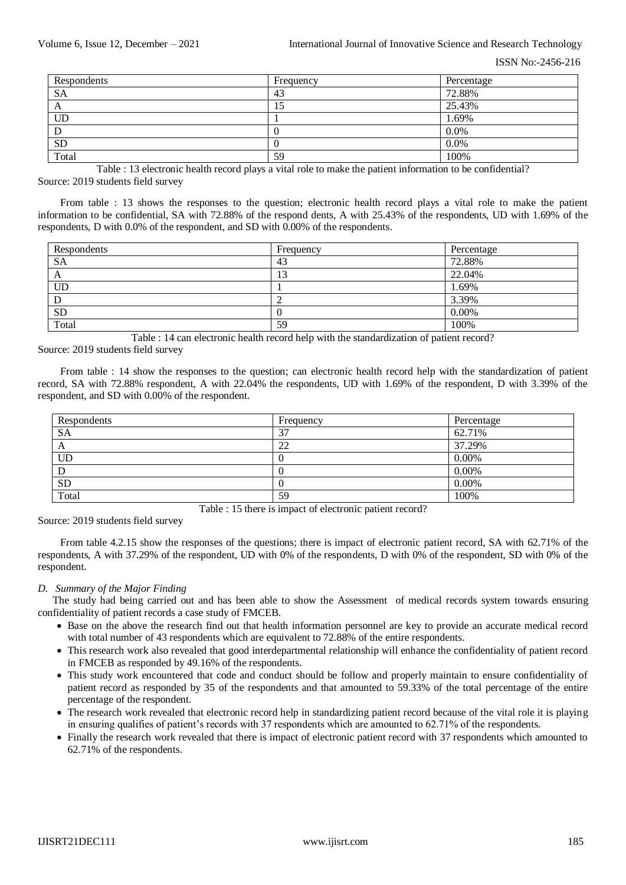| Respondents | Frequency | Percentage |
|-------------|-----------|------------|
| <b>SA</b>   | 43        | 72.88%     |
| A           | IJ        | 25.43%     |
| UD          |           | 1.69%      |
|             |           | 0.0%       |
| <b>SD</b>   |           | 0.0%       |
| Total       | 59        | 100%       |

Table : 13 electronic health record plays a vital role to make the patient information to be confidential? Source: 2019 students field survey

From table : 13 shows the responses to the question; electronic health record plays a vital role to make the patient information to be confidential, SA with 72.88% of the respond dents, A with 25.43% of the respondents, UD with 1.69% of the respondents, D with 0.0% of the respondent, and SD with 0.00% of the respondents.

| Respondents | Frequency | Percentage |
|-------------|-----------|------------|
| <b>SA</b>   | 43        | 72.88%     |
| A           | 13        | 22.04%     |
| UD          |           | 1.69%      |
|             |           | 3.39%      |
| <b>SD</b>   |           | 0.00%      |
| Total       | 59        | 100%       |

Table : 14 can electronic health record help with the standardization of patient record? Source: 2019 students field survey

From table : 14 show the responses to the question; can electronic health record help with the standardization of patient record, SA with 72.88% respondent, A with 22.04% the respondents, UD with 1.69% of the respondent, D with 3.39% of the respondent, and SD with 0.00% of the respondent.

| Respondents | Frequency | Percentage |
|-------------|-----------|------------|
| <b>SA</b>   | 37        | 62.71%     |
| A           | 22        | 37.29%     |
| UD          |           | 0.00%      |
| D           |           | 0.00%      |
| <b>SD</b>   |           | 0.00%      |
| Total       | 59        | 100%       |

Table : 15 there is impact of electronic patient record?

Source: 2019 students field survey

From table 4.2.15 show the responses of the questions; there is impact of electronic patient record, SA with 62.71% of the respondents, A with 37.29% of the respondent, UD with 0% of the respondents, D with 0% of the respondent, SD with 0% of the respondent.

## *D. Summary of the Major Finding*

The study had being carried out and has been able to show the Assessment of medical records system towards ensuring confidentiality of patient records a case study of FMCEB.

- Base on the above the research find out that health information personnel are key to provide an accurate medical record with total number of 43 respondents which are equivalent to 72.88% of the entire respondents.
- This research work also revealed that good interdepartmental relationship will enhance the confidentiality of patient record in FMCEB as responded by 49.16% of the respondents.
- This study work encountered that code and conduct should be follow and properly maintain to ensure confidentiality of patient record as responded by 35 of the respondents and that amounted to 59.33% of the total percentage of the entire percentage of the respondent.
- The research work revealed that electronic record help in standardizing patient record because of the vital role it is playing in ensuring qualifies of patient's records with 37 respondents which are amounted to 62.71% of the respondents.
- Finally the research work revealed that there is impact of electronic patient record with 37 respondents which amounted to 62.71% of the respondents.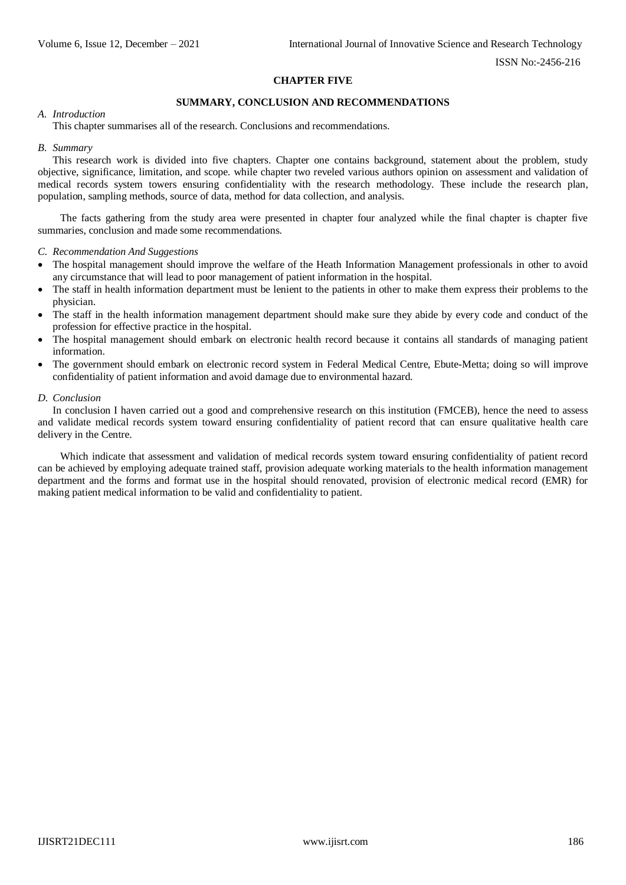# **CHAPTER FIVE**

# **SUMMARY, CONCLUSION AND RECOMMENDATIONS**

#### *A. Introduction*

This chapter summarises all of the research. Conclusions and recommendations.

#### *B. Summary*

This research work is divided into five chapters. Chapter one contains background, statement about the problem, study objective, significance, limitation, and scope. while chapter two reveled various authors opinion on assessment and validation of medical records system towers ensuring confidentiality with the research methodology. These include the research plan, population, sampling methods, source of data, method for data collection, and analysis.

The facts gathering from the study area were presented in chapter four analyzed while the final chapter is chapter five summaries, conclusion and made some recommendations.

#### *C. Recommendation And Suggestions*

- The hospital management should improve the welfare of the Heath Information Management professionals in other to avoid any circumstance that will lead to poor management of patient information in the hospital.
- The staff in health information department must be lenient to the patients in other to make them express their problems to the physician.
- The staff in the health information management department should make sure they abide by every code and conduct of the profession for effective practice in the hospital.
- The hospital management should embark on electronic health record because it contains all standards of managing patient information.
- The government should embark on electronic record system in Federal Medical Centre, Ebute-Metta; doing so will improve confidentiality of patient information and avoid damage due to environmental hazard.

#### *D. Conclusion*

In conclusion I haven carried out a good and comprehensive research on this institution (FMCEB), hence the need to assess and validate medical records system toward ensuring confidentiality of patient record that can ensure qualitative health care delivery in the Centre.

Which indicate that assessment and validation of medical records system toward ensuring confidentiality of patient record can be achieved by employing adequate trained staff, provision adequate working materials to the health information management department and the forms and format use in the hospital should renovated, provision of electronic medical record (EMR) for making patient medical information to be valid and confidentiality to patient.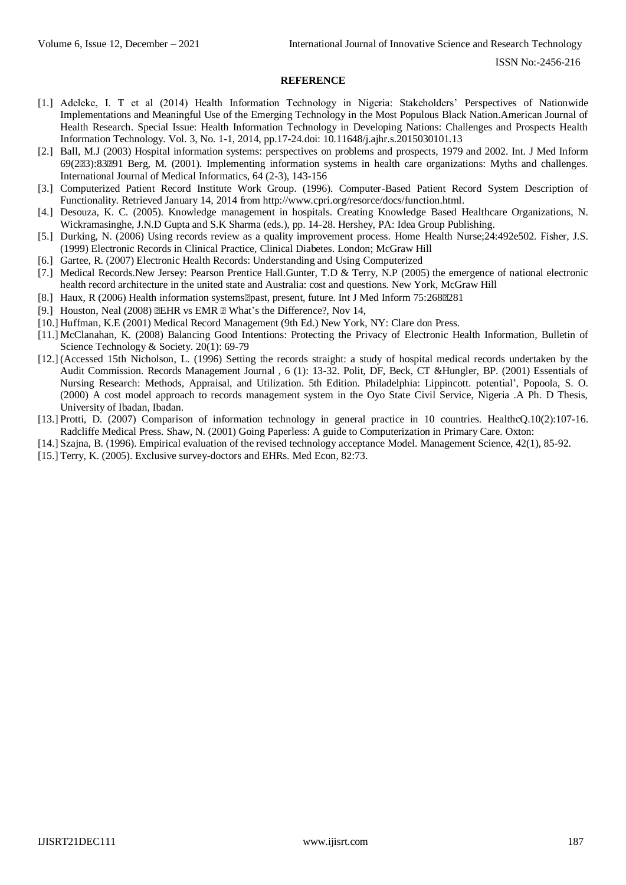#### **REFERENCE**

- [1.] Adeleke, I. T et al (2014) Health Information Technology in Nigeria: Stakeholders' Perspectives of Nationwide Implementations and Meaningful Use of the Emerging Technology in the Most Populous Black Nation.American Journal of Health Research. Special Issue: Health Information Technology in Developing Nations: Challenges and Prospects Health Information Technology. Vol. 3, No. 1-1, 2014, pp.17-24.doi: 10.11648/j.ajhr.s.2015030101.13
- [2.] Ball, M.J (2003) Hospital information systems: perspectives on problems and prospects, 1979 and 2002. Int. J Med Inform 69(23):8391 Berg, M. (2001). Implementing information systems in health care organizations: Myths and challenges. International Journal of Medical Informatics, 64 (2-3), 143-156
- [3.] Computerized Patient Record Institute Work Group. (1996). Computer-Based Patient Record System Description of Functionality. Retrieved January 14, 2014 from [http://www.cpri.org/resorce/docs/function.html.](http://www.cpri.org/resorce/docs/function.html)
- [4.] Desouza, K. C. (2005). Knowledge management in hospitals. Creating Knowledge Based Healthcare Organizations, N. Wickramasinghe, J.N.D Gupta and S.K Sharma (eds.), pp. 14-28. Hershey, PA: Idea Group Publishing.
- [5.] Durking, N. (2006) Using records review as a quality improvement process. Home Health Nurse;24:492e502. Fisher, J.S. (1999) Electronic Records in Clinical Practice, Clinical Diabetes. London; McGraw Hill
- [6.] Gartee, R. (2007) Electronic Health Records: Understanding and Using Computerized
- [7.] Medical Records.New Jersey: Pearson Prentice Hall.Gunter, T.D & Terry, N.P (2005) the emergence of national electronic health record architecture in the united state and Australia: cost and questions. New York, McGraw Hill
- [8.] Haux, R (2006) Health information systems past, present, future. Int J Med Inform 75:268 pm 281
- [9.] Houston, Neal (2008) **EHR** vs EMR **E** What's the Difference?, Nov 14,
- [10.] Huffman, K.E (2001) Medical Record Management (9th Ed.) New York, NY: Clare don Press.
- [11.] McClanahan, K. (2008) Balancing Good Intentions: Protecting the Privacy of Electronic Health Information, Bulletin of Science Technology & Society. 20(1): 69-79
- [12.] (Accessed 15th Nicholson, L. (1996) Setting the records straight: a study of hospital medical records undertaken by the Audit Commission. Records Management Journal , 6 (1): 13-32. Polit, DF, Beck, CT &Hungler, BP. (2001) Essentials of Nursing Research: Methods, Appraisal, and Utilization. 5th Edition. Philadelphia: Lippincott. potential', Popoola, S. O. (2000) A cost model approach to records management system in the Oyo State Civil Service, Nigeria .A Ph. D Thesis, University of Ibadan, Ibadan.
- [13.] Protti, D. (2007) Comparison of information technology in general practice in 10 countries. HealthcQ.10(2):107-16. Radcliffe Medical Press. Shaw, N. (2001) Going Paperless: A guide to Computerization in Primary Care. Oxton:
- [14.] Szajna, B. (1996). Empirical evaluation of the revised technology acceptance Model. Management Science, 42(1), 85-92.
- [15.] Terry, K. (2005). Exclusive survey-doctors and EHRs. Med Econ, 82:73.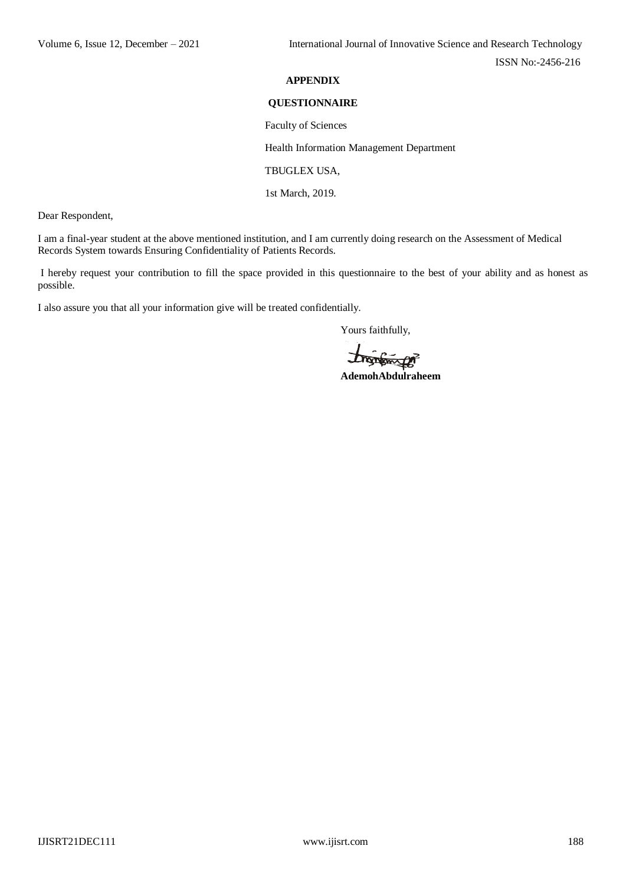# **APPENDIX**

## **QUESTIONNAIRE**

Faculty of Sciences

Health Information Management Department

TBUGLEX USA,

1st March, 2019.

Dear Respondent,

I am a final-year student at the above mentioned institution, and I am currently doing research on the Assessment of Medical Records System towards Ensuring Confidentiality of Patients Records.

I hereby request your contribution to fill the space provided in this questionnaire to the best of your ability and as honest as possible.

I also assure you that all your information give will be treated confidentially.

Yours faithfully,

**Angweger**<br>AdemohAbdulraheem